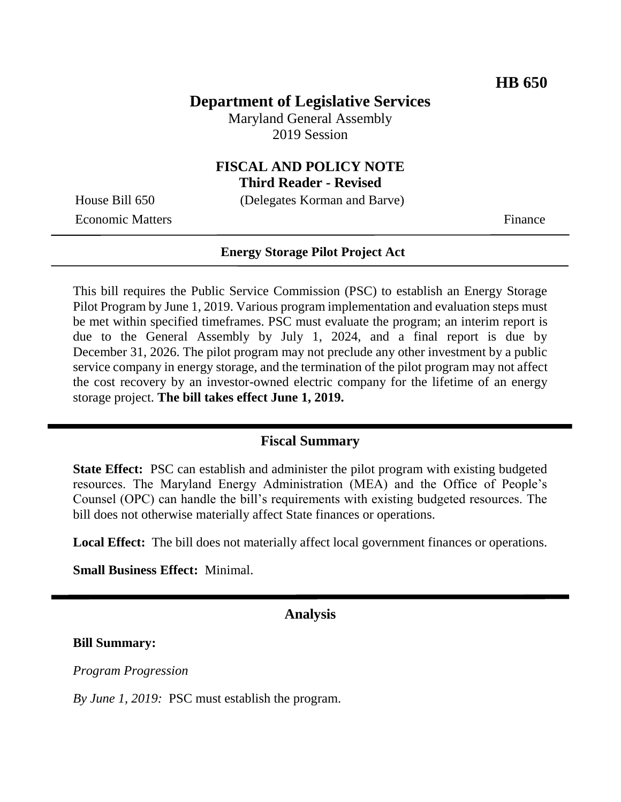# **Department of Legislative Services**

Maryland General Assembly 2019 Session

# **FISCAL AND POLICY NOTE**

**Third Reader - Revised**

Economic Matters Finance

House Bill 650 (Delegates Korman and Barve)

#### **Energy Storage Pilot Project Act**

This bill requires the Public Service Commission (PSC) to establish an Energy Storage Pilot Program by June 1, 2019. Various program implementation and evaluation steps must be met within specified timeframes. PSC must evaluate the program; an interim report is due to the General Assembly by July 1, 2024, and a final report is due by December 31, 2026. The pilot program may not preclude any other investment by a public service company in energy storage, and the termination of the pilot program may not affect the cost recovery by an investor-owned electric company for the lifetime of an energy storage project. **The bill takes effect June 1, 2019.**

## **Fiscal Summary**

**State Effect:** PSC can establish and administer the pilot program with existing budgeted resources. The Maryland Energy Administration (MEA) and the Office of People's Counsel (OPC) can handle the bill's requirements with existing budgeted resources. The bill does not otherwise materially affect State finances or operations.

**Local Effect:** The bill does not materially affect local government finances or operations.

**Small Business Effect:** Minimal.

## **Analysis**

#### **Bill Summary:**

*Program Progression*

*By June 1, 2019:* PSC must establish the program.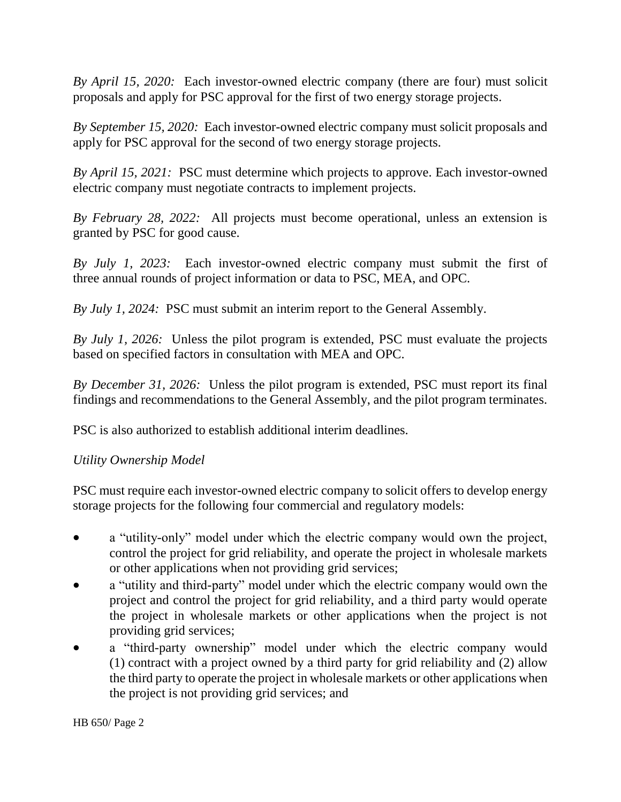*By April 15, 2020:* Each investor-owned electric company (there are four) must solicit proposals and apply for PSC approval for the first of two energy storage projects.

*By September 15, 2020:* Each investor-owned electric company must solicit proposals and apply for PSC approval for the second of two energy storage projects.

*By April 15, 2021:* PSC must determine which projects to approve. Each investor-owned electric company must negotiate contracts to implement projects.

*By February 28, 2022:* All projects must become operational, unless an extension is granted by PSC for good cause.

*By July 1, 2023:* Each investor-owned electric company must submit the first of three annual rounds of project information or data to PSC, MEA, and OPC.

*By July 1, 2024:* PSC must submit an interim report to the General Assembly.

*By July 1, 2026:* Unless the pilot program is extended, PSC must evaluate the projects based on specified factors in consultation with MEA and OPC.

*By December 31, 2026:* Unless the pilot program is extended, PSC must report its final findings and recommendations to the General Assembly, and the pilot program terminates.

PSC is also authorized to establish additional interim deadlines.

## *Utility Ownership Model*

PSC must require each investor-owned electric company to solicit offers to develop energy storage projects for the following four commercial and regulatory models:

- a "utility-only" model under which the electric company would own the project, control the project for grid reliability, and operate the project in wholesale markets or other applications when not providing grid services;
- a "utility and third-party" model under which the electric company would own the project and control the project for grid reliability, and a third party would operate the project in wholesale markets or other applications when the project is not providing grid services;
- a "third-party ownership" model under which the electric company would (1) contract with a project owned by a third party for grid reliability and (2) allow the third party to operate the project in wholesale markets or other applications when the project is not providing grid services; and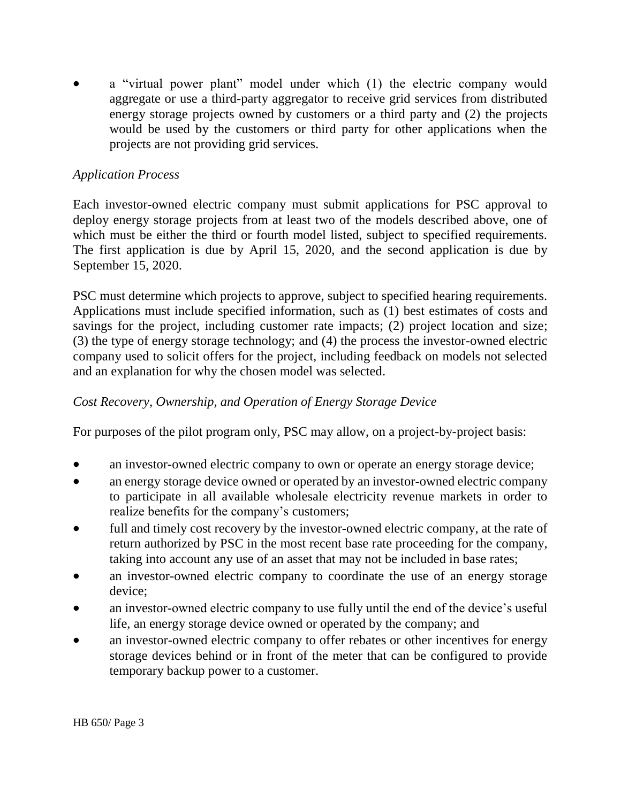a "virtual power plant" model under which (1) the electric company would aggregate or use a third-party aggregator to receive grid services from distributed energy storage projects owned by customers or a third party and (2) the projects would be used by the customers or third party for other applications when the projects are not providing grid services.

## *Application Process*

Each investor-owned electric company must submit applications for PSC approval to deploy energy storage projects from at least two of the models described above, one of which must be either the third or fourth model listed, subject to specified requirements. The first application is due by April 15, 2020, and the second application is due by September 15, 2020.

PSC must determine which projects to approve, subject to specified hearing requirements. Applications must include specified information, such as (1) best estimates of costs and savings for the project, including customer rate impacts; (2) project location and size; (3) the type of energy storage technology; and (4) the process the investor-owned electric company used to solicit offers for the project, including feedback on models not selected and an explanation for why the chosen model was selected.

# *Cost Recovery, Ownership, and Operation of Energy Storage Device*

For purposes of the pilot program only, PSC may allow, on a project-by-project basis:

- an investor-owned electric company to own or operate an energy storage device;
- an energy storage device owned or operated by an investor-owned electric company to participate in all available wholesale electricity revenue markets in order to realize benefits for the company's customers;
- full and timely cost recovery by the investor-owned electric company, at the rate of return authorized by PSC in the most recent base rate proceeding for the company, taking into account any use of an asset that may not be included in base rates;
- an investor-owned electric company to coordinate the use of an energy storage device;
- an investor-owned electric company to use fully until the end of the device's useful life, an energy storage device owned or operated by the company; and
- an investor-owned electric company to offer rebates or other incentives for energy storage devices behind or in front of the meter that can be configured to provide temporary backup power to a customer.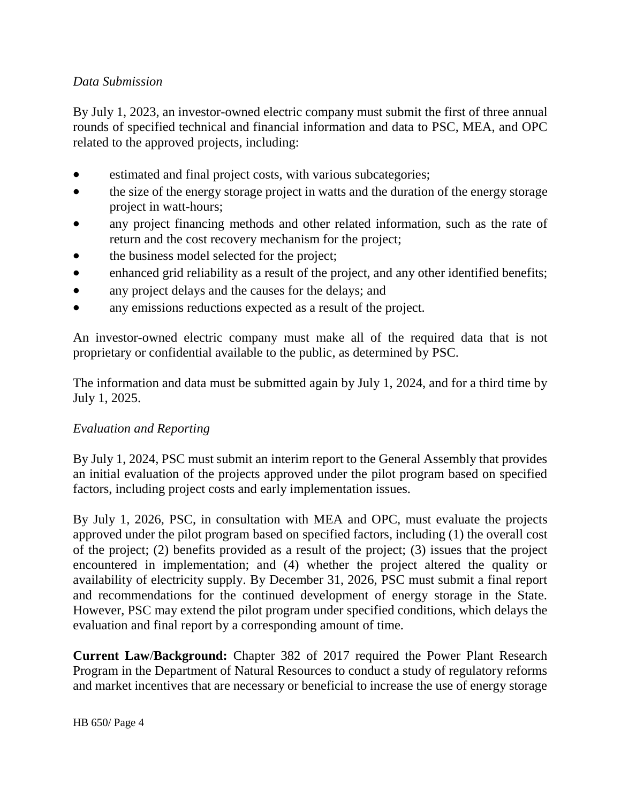# *Data Submission*

By July 1, 2023, an investor-owned electric company must submit the first of three annual rounds of specified technical and financial information and data to PSC, MEA, and OPC related to the approved projects, including:

- estimated and final project costs, with various subcategories;
- the size of the energy storage project in watts and the duration of the energy storage project in watt-hours;
- any project financing methods and other related information, such as the rate of return and the cost recovery mechanism for the project;
- the business model selected for the project;
- enhanced grid reliability as a result of the project, and any other identified benefits;
- any project delays and the causes for the delays; and
- any emissions reductions expected as a result of the project.

An investor-owned electric company must make all of the required data that is not proprietary or confidential available to the public, as determined by PSC.

The information and data must be submitted again by July 1, 2024, and for a third time by July 1, 2025.

## *Evaluation and Reporting*

By July 1, 2024, PSC must submit an interim report to the General Assembly that provides an initial evaluation of the projects approved under the pilot program based on specified factors, including project costs and early implementation issues.

By July 1, 2026, PSC, in consultation with MEA and OPC, must evaluate the projects approved under the pilot program based on specified factors, including (1) the overall cost of the project; (2) benefits provided as a result of the project; (3) issues that the project encountered in implementation; and (4) whether the project altered the quality or availability of electricity supply. By December 31, 2026, PSC must submit a final report and recommendations for the continued development of energy storage in the State. However, PSC may extend the pilot program under specified conditions, which delays the evaluation and final report by a corresponding amount of time.

**Current Law**/**Background:** Chapter 382 of 2017 required the Power Plant Research Program in the Department of Natural Resources to conduct a study of regulatory reforms and market incentives that are necessary or beneficial to increase the use of energy storage